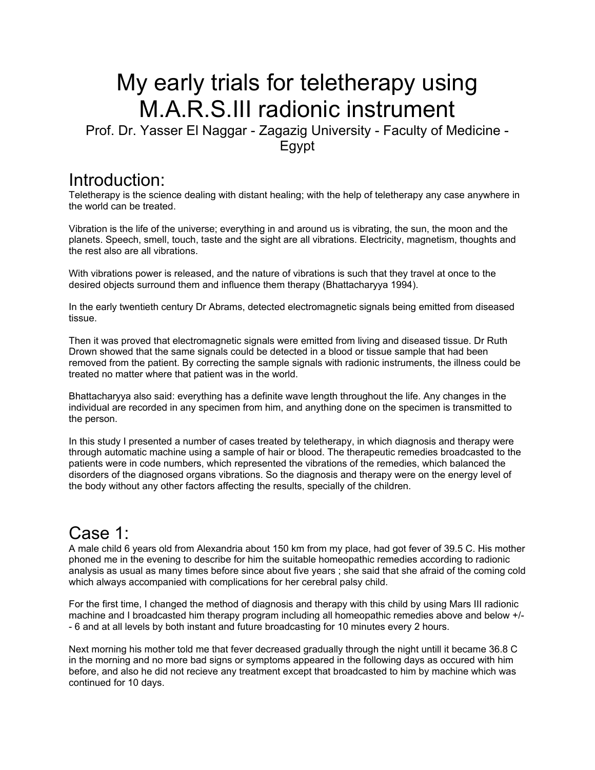# My early trials for teletherapy using M.A.R.S.III radionic instrument

Prof. Dr. Yasser El Naggar - Zagazig University - Faculty of Medicine - **E**gypt

#### Introduction:

Teletherapy is the science dealing with distant healing; with the help of teletherapy any case anywhere in the world can be treated.

Vibration is the life of the universe; everything in and around us is vibrating, the sun, the moon and the planets. Speech, smell, touch, taste and the sight are all vibrations. Electricity, magnetism, thoughts and the rest also are all vibrations.

With vibrations power is released, and the nature of vibrations is such that they travel at once to the desired objects surround them and influence them therapy (Bhattacharyya 1994).

In the early twentieth century Dr Abrams, detected electromagnetic signals being emitted from diseased tissue.

Then it was proved that electromagnetic signals were emitted from living and diseased tissue. Dr Ruth Drown showed that the same signals could be detected in a blood or tissue sample that had been removed from the patient. By correcting the sample signals with radionic instruments, the illness could be treated no matter where that patient was in the world.

Bhattacharyya also said: everything has a definite wave length throughout the life. Any changes in the individual are recorded in any specimen from him, and anything done on the specimen is transmitted to the person.

In this study I presented a number of cases treated by teletherapy, in which diagnosis and therapy were through automatic machine using a sample of hair or blood. The therapeutic remedies broadcasted to the patients were in code numbers, which represented the vibrations of the remedies, which balanced the disorders of the diagnosed organs vibrations. So the diagnosis and therapy were on the energy level of the body without any other factors affecting the results, specially of the children.

# Case 1:

A male child 6 years old from Alexandria about 150 km from my place, had got fever of 39.5 C. His mother phoned me in the evening to describe for him the suitable homeopathic remedies according to radionic analysis as usual as many times before since about five years ; she said that she afraid of the coming cold which always accompanied with complications for her cerebral palsy child.

For the first time, I changed the method of diagnosis and therapy with this child by using Mars III radionic machine and I broadcasted him therapy program including all homeopathic remedies above and below +/- - 6 and at all levels by both instant and future broadcasting for 10 minutes every 2 hours.

Next morning his mother told me that fever decreased gradually through the night untill it became 36.8 C in the morning and no more bad signs or symptoms appeared in the following days as occured with him before, and also he did not recieve any treatment except that broadcasted to him by machine which was continued for 10 days.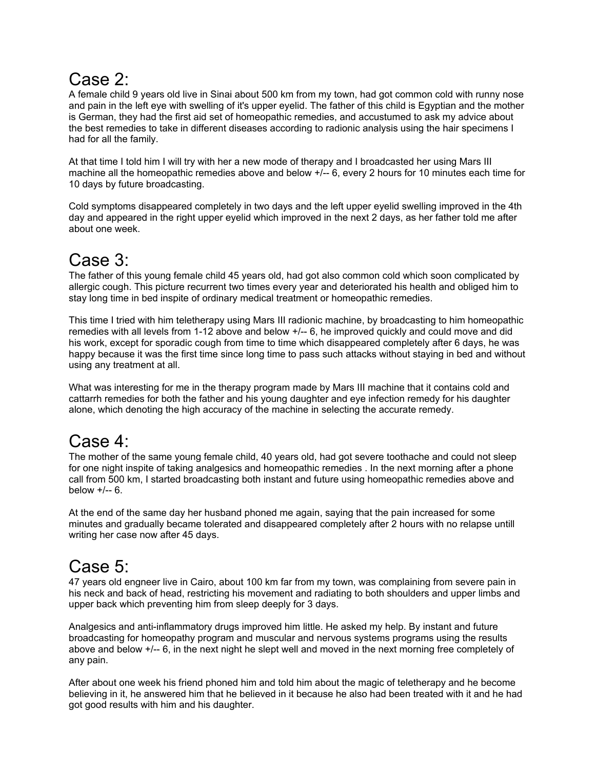### Case 2:

A female child 9 years old live in Sinai about 500 km from my town, had got common cold with runny nose and pain in the left eye with swelling of it's upper eyelid. The father of this child is Egyptian and the mother is German, they had the first aid set of homeopathic remedies, and accustumed to ask my advice about the best remedies to take in different diseases according to radionic analysis using the hair specimens I had for all the family.

At that time I told him I will try with her a new mode of therapy and I broadcasted her using Mars III machine all the homeopathic remedies above and below  $+/-$  6, every 2 hours for 10 minutes each time for 10 days by future broadcasting.

Cold symptoms disappeared completely in two days and the left upper eyelid swelling improved in the 4th day and appeared in the right upper eyelid which improved in the next 2 days, as her father told me after about one week.

# Case 3:

The father of this young female child 45 years old, had got also common cold which soon complicated by allergic cough. This picture recurrent two times every year and deteriorated his health and obliged him to stay long time in bed inspite of ordinary medical treatment or homeopathic remedies.

This time I tried with him teletherapy using Mars III radionic machine, by broadcasting to him homeopathic remedies with all levels from 1-12 above and below +/-- 6, he improved quickly and could move and did his work, except for sporadic cough from time to time which disappeared completely after 6 days, he was happy because it was the first time since long time to pass such attacks without staying in bed and without using any treatment at all.

What was interesting for me in the therapy program made by Mars III machine that it contains cold and cattarrh remedies for both the father and his young daughter and eye infection remedy for his daughter alone, which denoting the high accuracy of the machine in selecting the accurate remedy.

### Case 4:

The mother of the same young female child, 40 years old, had got severe toothache and could not sleep for one night inspite of taking analgesics and homeopathic remedies . In the next morning after a phone call from 500 km, I started broadcasting both instant and future using homeopathic remedies above and below  $+/-6$ .

At the end of the same day her husband phoned me again, saying that the pain increased for some minutes and gradually became tolerated and disappeared completely after 2 hours with no relapse untill writing her case now after 45 days.

# Case 5:

47 years old engneer live in Cairo, about 100 km far from my town, was complaining from severe pain in his neck and back of head, restricting his movement and radiating to both shoulders and upper limbs and upper back which preventing him from sleep deeply for 3 days.

Analgesics and anti-inflammatory drugs improved him little. He asked my help. By instant and future broadcasting for homeopathy program and muscular and nervous systems programs using the results above and below +/-- 6, in the next night he slept well and moved in the next morning free completely of any pain.

After about one week his friend phoned him and told him about the magic of teletherapy and he become believing in it, he answered him that he believed in it because he also had been treated with it and he had got good results with him and his daughter.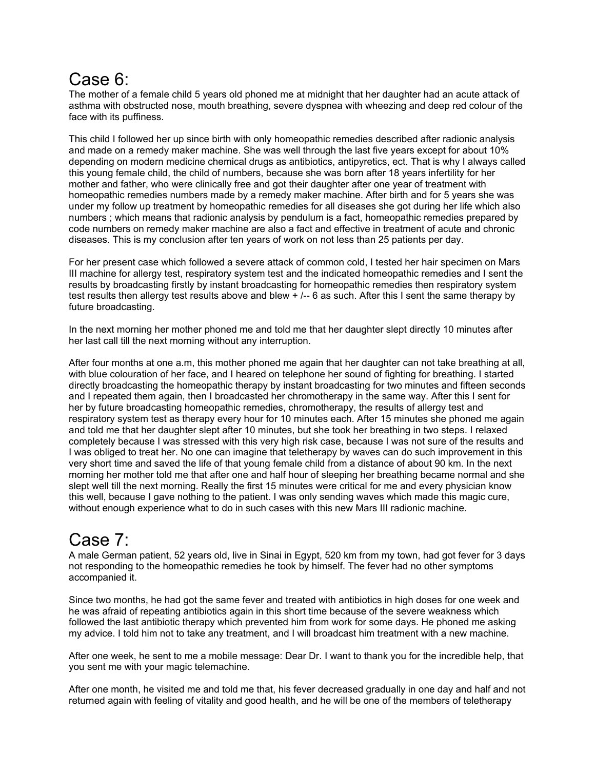#### Case 6:

The mother of a female child 5 years old phoned me at midnight that her daughter had an acute attack of asthma with obstructed nose, mouth breathing, severe dyspnea with wheezing and deep red colour of the face with its puffiness.

This child I followed her up since birth with only homeopathic remedies described after radionic analysis and made on a remedy maker machine. She was well through the last five years except for about 10% depending on modern medicine chemical drugs as antibiotics, antipyretics, ect. That is why I always called this young female child, the child of numbers, because she was born after 18 years infertility for her mother and father, who were clinically free and got their daughter after one year of treatment with homeopathic remedies numbers made by a remedy maker machine. After birth and for 5 years she was under my follow up treatment by homeopathic remedies for all diseases she got during her life which also numbers ; which means that radionic analysis by pendulum is a fact, homeopathic remedies prepared by code numbers on remedy maker machine are also a fact and effective in treatment of acute and chronic diseases. This is my conclusion after ten years of work on not less than 25 patients per day.

For her present case which followed a severe attack of common cold, I tested her hair specimen on Mars III machine for allergy test, respiratory system test and the indicated homeopathic remedies and I sent the results by broadcasting firstly by instant broadcasting for homeopathic remedies then respiratory system test results then allergy test results above and blew + /-- 6 as such. After this I sent the same therapy by future broadcasting.

In the next morning her mother phoned me and told me that her daughter slept directly 10 minutes after her last call till the next morning without any interruption.

After four months at one a.m, this mother phoned me again that her daughter can not take breathing at all, with blue colouration of her face, and I heared on telephone her sound of fighting for breathing. I started directly broadcasting the homeopathic therapy by instant broadcasting for two minutes and fifteen seconds and I repeated them again, then I broadcasted her chromotherapy in the same way. After this I sent for her by future broadcasting homeopathic remedies, chromotherapy, the results of allergy test and respiratory system test as therapy every hour for 10 minutes each. After 15 minutes she phoned me again and told me that her daughter slept after 10 minutes, but she took her breathing in two steps. I relaxed completely because I was stressed with this very high risk case, because I was not sure of the results and I was obliged to treat her. No one can imagine that teletherapy by waves can do such improvement in this very short time and saved the life of that young female child from a distance of about 90 km. In the next morning her mother told me that after one and half hour of sleeping her breathing became normal and she slept well till the next morning. Really the first 15 minutes were critical for me and every physician know this well, because I gave nothing to the patient. I was only sending waves which made this magic cure, without enough experience what to do in such cases with this new Mars III radionic machine.

# Case 7:

A male German patient, 52 years old, live in Sinai in Egypt, 520 km from my town, had got fever for 3 days not responding to the homeopathic remedies he took by himself. The fever had no other symptoms accompanied it.

Since two months, he had got the same fever and treated with antibiotics in high doses for one week and he was afraid of repeating antibiotics again in this short time because of the severe weakness which followed the last antibiotic therapy which prevented him from work for some days. He phoned me asking my advice. I told him not to take any treatment, and I will broadcast him treatment with a new machine.

After one week, he sent to me a mobile message: Dear Dr. I want to thank you for the incredible help, that you sent me with your magic telemachine.

After one month, he visited me and told me that, his fever decreased gradually in one day and half and not returned again with feeling of vitality and good health, and he will be one of the members of teletherapy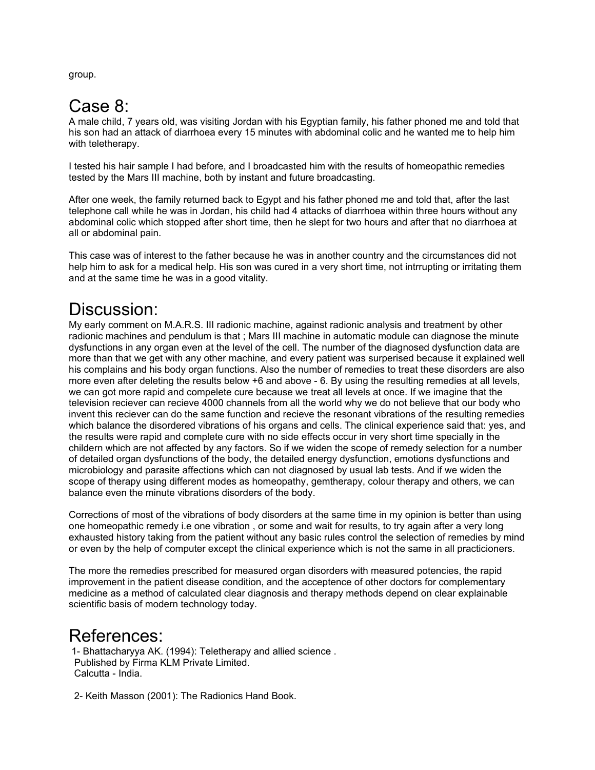group.

### Case 8:

A male child, 7 years old, was visiting Jordan with his Egyptian family, his father phoned me and told that his son had an attack of diarrhoea every 15 minutes with abdominal colic and he wanted me to help him with teletherapy.

I tested his hair sample I had before, and I broadcasted him with the results of homeopathic remedies tested by the Mars III machine, both by instant and future broadcasting.

After one week, the family returned back to Egypt and his father phoned me and told that, after the last telephone call while he was in Jordan, his child had 4 attacks of diarrhoea within three hours without any abdominal colic which stopped after short time, then he slept for two hours and after that no diarrhoea at all or abdominal pain.

This case was of interest to the father because he was in another country and the circumstances did not help him to ask for a medical help. His son was cured in a very short time, not intrrupting or irritating them and at the same time he was in a good vitality.

#### Discussion:

My early comment on M.A.R.S. III radionic machine, against radionic analysis and treatment by other radionic machines and pendulum is that ; Mars III machine in automatic module can diagnose the minute dysfunctions in any organ even at the level of the cell. The number of the diagnosed dysfunction data are more than that we get with any other machine, and every patient was surperised because it explained well his complains and his body organ functions. Also the number of remedies to treat these disorders are also more even after deleting the results below +6 and above - 6. By using the resulting remedies at all levels, we can got more rapid and compelete cure because we treat all levels at once. If we imagine that the television reciever can recieve 4000 channels from all the world why we do not believe that our body who invent this reciever can do the same function and recieve the resonant vibrations of the resulting remedies which balance the disordered vibrations of his organs and cells. The clinical experience said that: yes, and the results were rapid and complete cure with no side effects occur in very short time specially in the childern which are not affected by any factors. So if we widen the scope of remedy selection for a number of detailed organ dysfunctions of the body, the detailed energy dysfunction, emotions dysfunctions and microbiology and parasite affections which can not diagnosed by usual lab tests. And if we widen the scope of therapy using different modes as homeopathy, gemtherapy, colour therapy and others, we can balance even the minute vibrations disorders of the body.

Corrections of most of the vibrations of body disorders at the same time in my opinion is better than using one homeopathic remedy i.e one vibration , or some and wait for results, to try again after a very long exhausted history taking from the patient without any basic rules control the selection of remedies by mind or even by the help of computer except the clinical experience which is not the same in all practicioners.

The more the remedies prescribed for measured organ disorders with measured potencies, the rapid improvement in the patient disease condition, and the acceptence of other doctors for complementary medicine as a method of calculated clear diagnosis and therapy methods depend on clear explainable scientific basis of modern technology today.

#### References:

 1- Bhattacharyya AK. (1994): Teletherapy and allied science . Published by Firma KLM Private Limited. Calcutta - India.

2- Keith Masson (2001): The Radionics Hand Book.